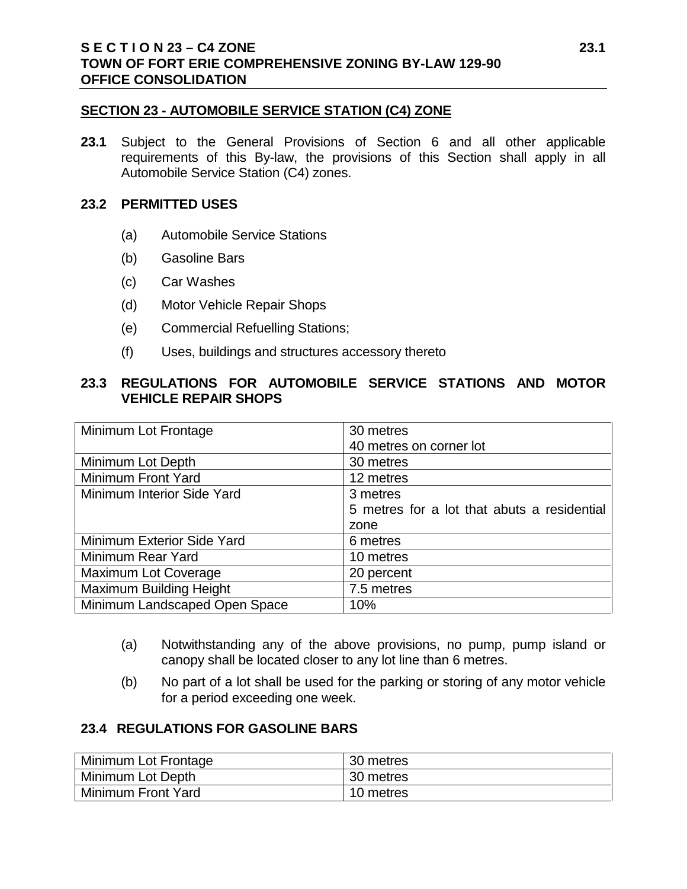#### **SECTION 23 - AUTOMOBILE SERVICE STATION (C4) ZONE**

**23.1** Subject to the General Provisions of Section 6 and all other applicable requirements of this By-law, the provisions of this Section shall apply in all Automobile Service Station (C4) zones.

#### **23.2 PERMITTED USES**

- (a) Automobile Service Stations
- (b) Gasoline Bars
- (c) Car Washes
- (d) Motor Vehicle Repair Shops
- (e) Commercial Refuelling Stations;
- (f) Uses, buildings and structures accessory thereto

## **23.3 REGULATIONS FOR AUTOMOBILE SERVICE STATIONS AND MOTOR VEHICLE REPAIR SHOPS**

| Minimum Lot Frontage           | 30 metres                                   |
|--------------------------------|---------------------------------------------|
|                                | 40 metres on corner lot                     |
| Minimum Lot Depth              | 30 metres                                   |
| Minimum Front Yard             | 12 metres                                   |
| Minimum Interior Side Yard     | 3 metres                                    |
|                                | 5 metres for a lot that abuts a residential |
|                                | zone                                        |
| Minimum Exterior Side Yard     | 6 metres                                    |
| Minimum Rear Yard              | 10 metres                                   |
| Maximum Lot Coverage           | 20 percent                                  |
| <b>Maximum Building Height</b> | 7.5 metres                                  |
| Minimum Landscaped Open Space  | 10%                                         |

- (a) Notwithstanding any of the above provisions, no pump, pump island or canopy shall be located closer to any lot line than 6 metres.
- (b) No part of a lot shall be used for the parking or storing of any motor vehicle for a period exceeding one week.

### **23.4 REGULATIONS FOR GASOLINE BARS**

| Minimum Lot Frontage | 30 metres |
|----------------------|-----------|
| Minimum Lot Depth    | 30 metres |
| Minimum Front Yard   | 10 metres |